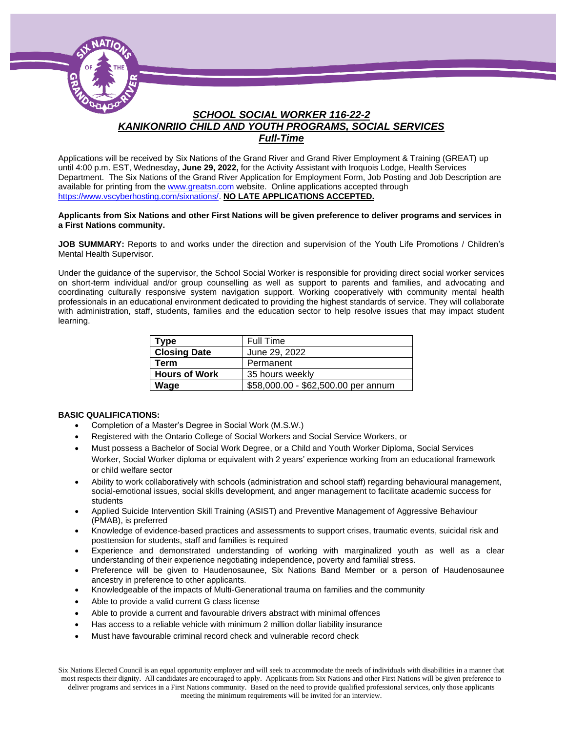

### *SCHOOL SOCIAL WORKER 116-22-2 KANIKONRIIO CHILD AND YOUTH PROGRAMS, SOCIAL SERVICES Full-Time*

Applications will be received by Six Nations of the Grand River and Grand River Employment & Training (GREAT) up until 4:00 p.m. EST, Wednesday**, June 29, 2022,** for the Activity Assistant with Iroquois Lodge, Health Services Department. The Six Nations of the Grand River Application for Employment Form, Job Posting and Job Description are available for printing from th[e www.greatsn.com](http://www.greatsn.com/) website. Online applications accepted through [https://www.vscyberhosting.com/sixnations/.](https://www.vscyberhosting.com/sixnations/) **NO LATE APPLICATIONS ACCEPTED.**

#### **Applicants from Six Nations and other First Nations will be given preference to deliver programs and services in a First Nations community.**

**JOB SUMMARY:** Reports to and works under the direction and supervision of the Youth Life Promotions / Children's Mental Health Supervisor.

Under the guidance of the supervisor, the School Social Worker is responsible for providing direct social worker services on short-term individual and/or group counselling as well as support to parents and families, and advocating and coordinating culturally responsive system navigation support. Working cooperatively with community mental health professionals in an educational environment dedicated to providing the highest standards of service. They will collaborate with administration, staff, students, families and the education sector to help resolve issues that may impact student learning.

| Type                 | Full Time                           |
|----------------------|-------------------------------------|
| <b>Closing Date</b>  | June 29, 2022                       |
| <b>Term</b>          | Permanent                           |
| <b>Hours of Work</b> | 35 hours weekly                     |
| Wage                 | \$58,000.00 - \$62,500.00 per annum |

#### **BASIC QUALIFICATIONS:**

- Completion of a Master's Degree in Social Work (M.S.W.)
- Registered with the Ontario College of Social Workers and Social Service Workers, or
- Must possess a Bachelor of Social Work Degree, or a Child and Youth Worker Diploma, Social Services Worker, Social Worker diploma or equivalent with 2 years' experience working from an educational framework or child welfare sector
- Ability to work collaboratively with schools (administration and school staff) regarding behavioural management, social-emotional issues, social skills development, and anger management to facilitate academic success for students
- Applied Suicide Intervention Skill Training (ASIST) and Preventive Management of Aggressive Behaviour (PMAB), is preferred
- Knowledge of evidence-based practices and assessments to support crises, traumatic events, suicidal risk and posttension for students, staff and families is required
- Experience and demonstrated understanding of working with marginalized youth as well as a clear understanding of their experience negotiating independence, poverty and familial stress.
- Preference will be given to Haudenosaunee, Six Nations Band Member or a person of Haudenosaunee ancestry in preference to other applicants.
- Knowledgeable of the impacts of Multi-Generational trauma on families and the community
- Able to provide a valid current G class license
- Able to provide a current and favourable drivers abstract with minimal offences
- Has access to a reliable vehicle with minimum 2 million dollar liability insurance
- Must have favourable criminal record check and vulnerable record check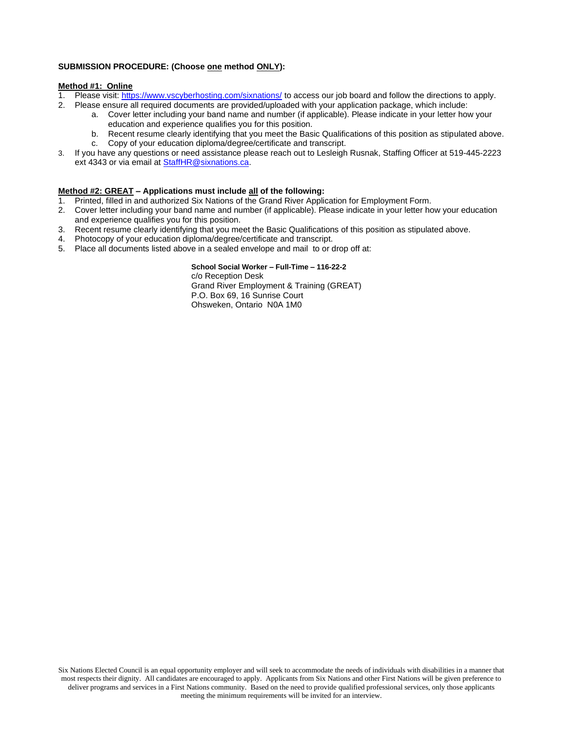### **SUBMISSION PROCEDURE: (Choose one method ONLY):**

#### **Method #1: Online**

- 1. Please visit[: https://www.vscyberhosting.com/sixnations/](https://www.vscyberhosting.com/sixnations/) to access our job board and follow the directions to apply.
- 2. Please ensure all required documents are provided/uploaded with your application package, which include:
	- a. Cover letter including your band name and number (if applicable). Please indicate in your letter how your education and experience qualifies you for this position.
	- b. Recent resume clearly identifying that you meet the Basic Qualifications of this position as stipulated above.
	- c. Copy of your education diploma/degree/certificate and transcript.
- 3. If you have any questions or need assistance please reach out to Lesleigh Rusnak, Staffing Officer at 519-445-2223 ext 4343 or via email at **StaffHR@sixnations.ca.**

#### **Method #2: GREAT – Applications must include all of the following:**

- 1. Printed, filled in and authorized Six Nations of the Grand River Application for Employment Form.
- 2. Cover letter including your band name and number (if applicable). Please indicate in your letter how your education and experience qualifies you for this position.
- 3. Recent resume clearly identifying that you meet the Basic Qualifications of this position as stipulated above.
- 4. Photocopy of your education diploma/degree/certificate and transcript.
- 5. Place all documents listed above in a sealed envelope and mail to or drop off at:

**School Social Worker – Full-Time – 116-22-2**

c/o Reception Desk Grand River Employment & Training (GREAT) P.O. Box 69, 16 Sunrise Court Ohsweken, Ontario N0A 1M0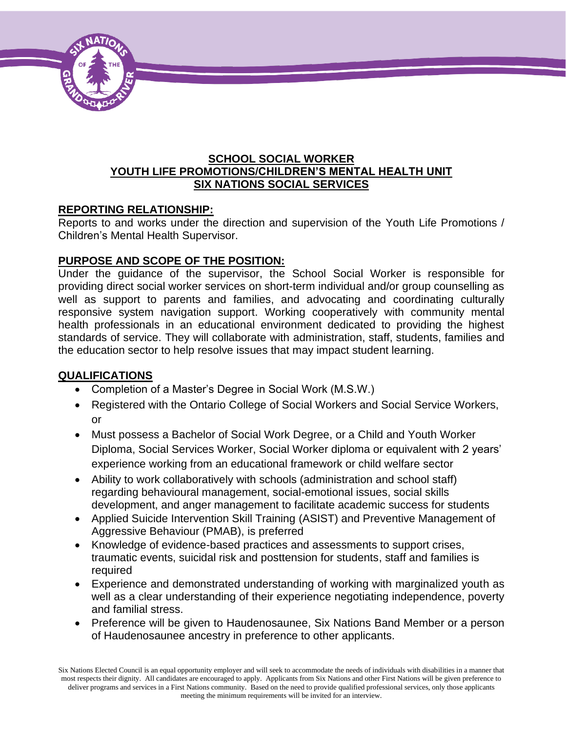

### **SCHOOL SOCIAL WORKER YOUTH LIFE PROMOTIONS/CHILDREN'S MENTAL HEALTH UNIT SIX NATIONS SOCIAL SERVICES**

## **REPORTING RELATIONSHIP:**

Reports to and works under the direction and supervision of the Youth Life Promotions / Children's Mental Health Supervisor.

## **PURPOSE AND SCOPE OF THE POSITION:**

Under the guidance of the supervisor, the School Social Worker is responsible for providing direct social worker services on short-term individual and/or group counselling as well as support to parents and families, and advocating and coordinating culturally responsive system navigation support. Working cooperatively with community mental health professionals in an educational environment dedicated to providing the highest standards of service. They will collaborate with administration, staff, students, families and the education sector to help resolve issues that may impact student learning.

### **QUALIFICATIONS**

- Completion of a Master's Degree in Social Work (M.S.W.)
- Registered with the Ontario College of Social Workers and Social Service Workers, or
- Must possess a Bachelor of Social Work Degree, or a Child and Youth Worker Diploma, Social Services Worker, Social Worker diploma or equivalent with 2 years' experience working from an educational framework or child welfare sector
- Ability to work collaboratively with schools (administration and school staff) regarding behavioural management, social-emotional issues, social skills development, and anger management to facilitate academic success for students
- Applied Suicide Intervention Skill Training (ASIST) and Preventive Management of Aggressive Behaviour (PMAB), is preferred
- Knowledge of evidence-based practices and assessments to support crises, traumatic events, suicidal risk and posttension for students, staff and families is required
- Experience and demonstrated understanding of working with marginalized youth as well as a clear understanding of their experience negotiating independence, poverty and familial stress.
- Preference will be given to Haudenosaunee, Six Nations Band Member or a person of Haudenosaunee ancestry in preference to other applicants.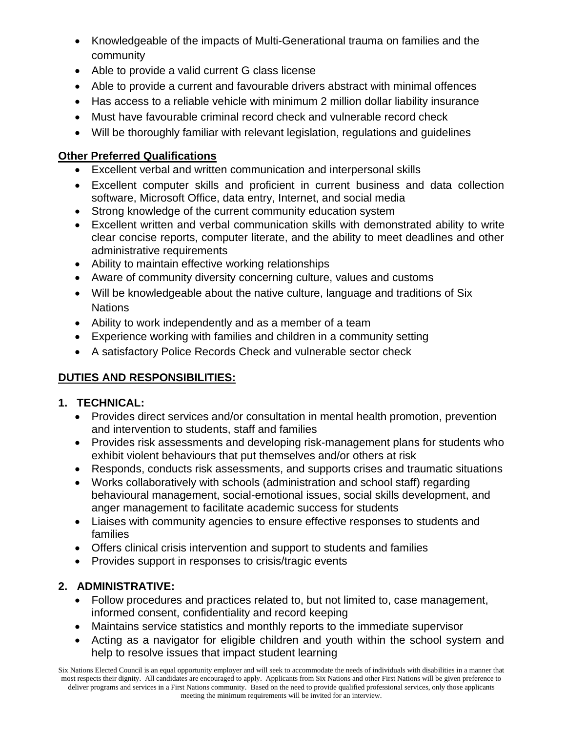- Knowledgeable of the impacts of Multi-Generational trauma on families and the community
- Able to provide a valid current G class license
- Able to provide a current and favourable drivers abstract with minimal offences
- Has access to a reliable vehicle with minimum 2 million dollar liability insurance
- Must have favourable criminal record check and vulnerable record check
- Will be thoroughly familiar with relevant legislation, regulations and guidelines

# **Other Preferred Qualifications**

- Excellent verbal and written communication and interpersonal skills
- Excellent computer skills and proficient in current business and data collection software, Microsoft Office, data entry, Internet, and social media
- Strong knowledge of the current community education system
- Excellent written and verbal communication skills with demonstrated ability to write clear concise reports, computer literate, and the ability to meet deadlines and other administrative requirements
- Ability to maintain effective working relationships
- Aware of community diversity concerning culture, values and customs
- Will be knowledgeable about the native culture, language and traditions of Six **Nations**
- Ability to work independently and as a member of a team
- Experience working with families and children in a community setting
- A satisfactory Police Records Check and vulnerable sector check

# **DUTIES AND RESPONSIBILITIES:**

# **1. TECHNICAL:**

- Provides direct services and/or consultation in mental health promotion, prevention and intervention to students, staff and families
- Provides risk assessments and developing risk-management plans for students who exhibit violent behaviours that put themselves and/or others at risk
- Responds, conducts risk assessments, and supports crises and traumatic situations
- Works collaboratively with schools (administration and school staff) regarding behavioural management, social-emotional issues, social skills development, and anger management to facilitate academic success for students
- Liaises with community agencies to ensure effective responses to students and families
- Offers clinical crisis intervention and support to students and families
- Provides support in responses to crisis/tragic events

# **2. ADMINISTRATIVE:**

- Follow procedures and practices related to, but not limited to, case management, informed consent, confidentiality and record keeping
- Maintains service statistics and monthly reports to the immediate supervisor
- Acting as a navigator for eligible children and youth within the school system and help to resolve issues that impact student learning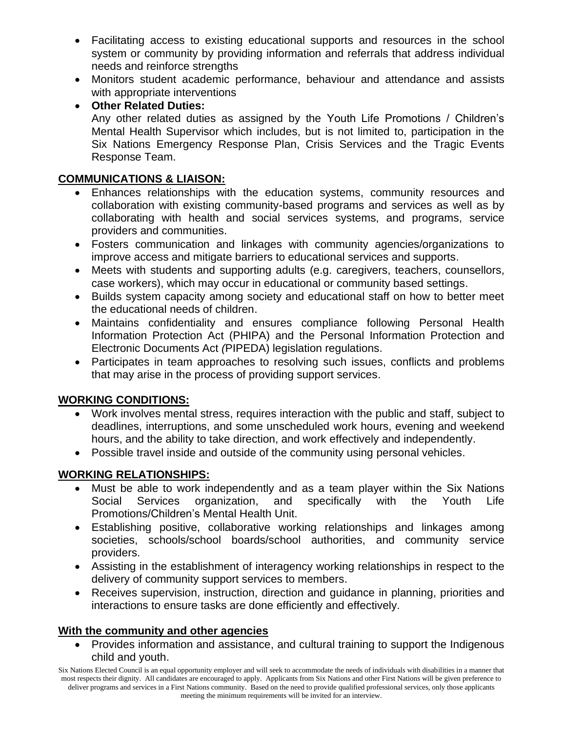- Facilitating access to existing educational supports and resources in the school system or community by providing information and referrals that address individual needs and reinforce strengths
- Monitors student academic performance, behaviour and attendance and assists with appropriate interventions

• **Other Related Duties:**

Any other related duties as assigned by the Youth Life Promotions / Children's Mental Health Supervisor which includes, but is not limited to, participation in the Six Nations Emergency Response Plan, Crisis Services and the Tragic Events Response Team.

## **COMMUNICATIONS & LIAISON:**

- Enhances relationships with the education systems, community resources and collaboration with existing community-based programs and services as well as by collaborating with health and social services systems, and programs, service providers and communities.
- Fosters communication and linkages with community agencies/organizations to improve access and mitigate barriers to educational services and supports.
- Meets with students and supporting adults (e.g. caregivers, teachers, counsellors, case workers), which may occur in educational or community based settings.
- Builds system capacity among society and educational staff on how to better meet the educational needs of children.
- Maintains confidentiality and ensures compliance following Personal Health Information Protection Act (PHIPA) and the Personal Information Protection and Electronic Documents Act *(*PIPEDA) legislation regulations.
- Participates in team approaches to resolving such issues, conflicts and problems that may arise in the process of providing support services.

# **WORKING CONDITIONS:**

- Work involves mental stress, requires interaction with the public and staff, subject to deadlines, interruptions, and some unscheduled work hours, evening and weekend hours, and the ability to take direction, and work effectively and independently.
- Possible travel inside and outside of the community using personal vehicles.

# **WORKING RELATIONSHIPS:**

- Must be able to work independently and as a team player within the Six Nations Social Services organization, and specifically with the Youth Life Promotions/Children's Mental Health Unit.
- Establishing positive, collaborative working relationships and linkages among societies, schools/school boards/school authorities, and community service providers.
- Assisting in the establishment of interagency working relationships in respect to the delivery of community support services to members.
- Receives supervision, instruction, direction and guidance in planning, priorities and interactions to ensure tasks are done efficiently and effectively.

# **With the community and other agencies**

• Provides information and assistance, and cultural training to support the Indigenous child and youth.

Six Nations Elected Council is an equal opportunity employer and will seek to accommodate the needs of individuals with disabilities in a manner that most respects their dignity. All candidates are encouraged to apply. Applicants from Six Nations and other First Nations will be given preference to deliver programs and services in a First Nations community. Based on the need to provide qualified professional services, only those applicants meeting the minimum requirements will be invited for an interview.